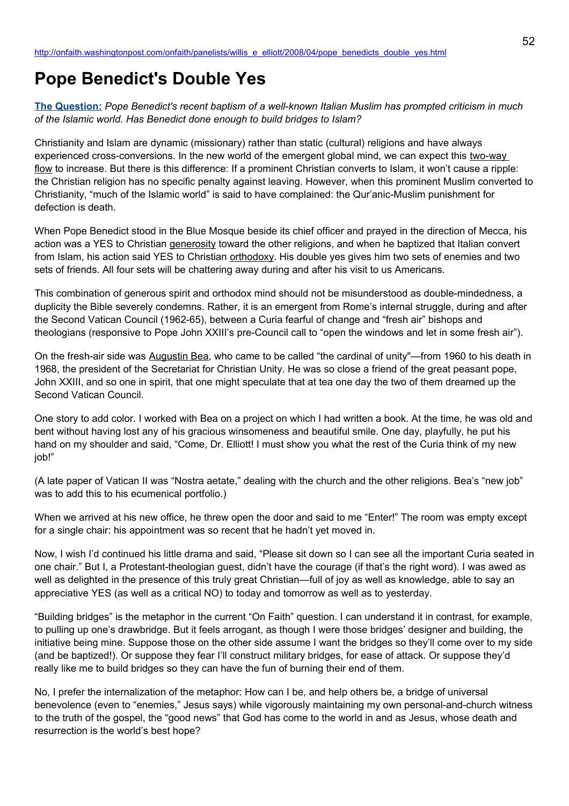# **Pope Benedict's Double Yes**

**[The Question:](http://newsweek.washingtonpost.com/onfaith/2008/04/benedict_and_islam/all.html)** *Pope Benedict's recent baptism of a well-known Italian Muslim has prompted criticism in much of the Islamic world. Has Benedict done enough to build bridges to Islam?*

Christianity and Islam are dynamic (missionary) rather than static (cultural) religions and have always experienced cross-conversions. In the new world of the emergent global mind, we can expect this two-way flow to increase. But there is this difference: If a prominent Christian converts to Islam, it won't cause a ripple: the Christian religion has no specific penalty against leaving. However, when this prominent Muslim converted to Christianity, "much of the Islamic world" is said to have complained: the Qur'anic-Muslim punishment for defection is death.

When Pope Benedict stood in the Blue Mosque beside its chief officer and prayed in the direction of Mecca, his action was a YES to Christian generosity toward the other religions, and when he baptized that Italian convert from Islam, his action said YES to Christian orthodoxy. His double yes gives him two sets of enemies and two sets of friends. All four sets will be chattering away during and after his visit to us Americans.

This combination of generous spirit and orthodox mind should not be misunderstood as double-mindedness, a duplicity the Bible severely condemns. Rather, it is an emergent from Rome's internal struggle, during and after the Second Vatican Council (1962-65), between a Curia fearful of change and "fresh air" bishops and theologians (responsive to Pope John XXIII's pre-Council call to "open the windows and let in some fresh air").

On the fresh-air side was Augustin Bea, who came to be called "the cardinal of unity"—from 1960 to his death in 1968, the president of the Secretariat for Christian Unity. He was so close a friend of the great peasant pope, John XXIII, and so one in spirit, that one might speculate that at tea one day the two of them dreamed up the Second Vatican Council.

One story to add color. I worked with Bea on a project on which I had written a book. At the time, he was old and bent without having lost any of his gracious winsomeness and beautiful smile. One day, playfully, he put his hand on my shoulder and said, "Come, Dr. Elliott! I must show you what the rest of the Curia think of my new job!"

(A late paper of Vatican II was "Nostra aetate," dealing with the church and the other religions. Bea's "new job" was to add this to his ecumenical portfolio.)

When we arrived at his new office, he threw open the door and said to me "Enter!" The room was empty except for a single chair: his appointment was so recent that he hadn't yet moved in.

Now, I wish I'd continued his little drama and said, "Please sit down so I can see all the important Curia seated in one chair." But I, a Protestant-theologian guest, didn't have the courage (if that's the right word). I was awed as well as delighted in the presence of this truly great Christian—full of joy as well as knowledge, able to say an appreciative YES (as well as a critical NO) to today and tomorrow as well as to yesterday.

"Building bridges" is the metaphor in the current "On Faith" question. I can understand it in contrast, for example, to pulling up one's drawbridge. But it feels arrogant, as though I were those bridges' designer and building, the initiative being mine. Suppose those on the other side assume I want the bridges so they'll come over to my side (and be baptized!). Or suppose they fear I'll construct military bridges, for ease of attack. Or suppose they'd really like me to build bridges so they can have the fun of burning their end of them.

No, I prefer the internalization of the metaphor: How can I be, and help others be, a bridge of universal benevolence (even to "enemies," Jesus says) while vigorously maintaining my own personal-and-church witness to the truth of the gospel, the "good news" that God has come to the world in and as Jesus, whose death and resurrection is the world's best hope?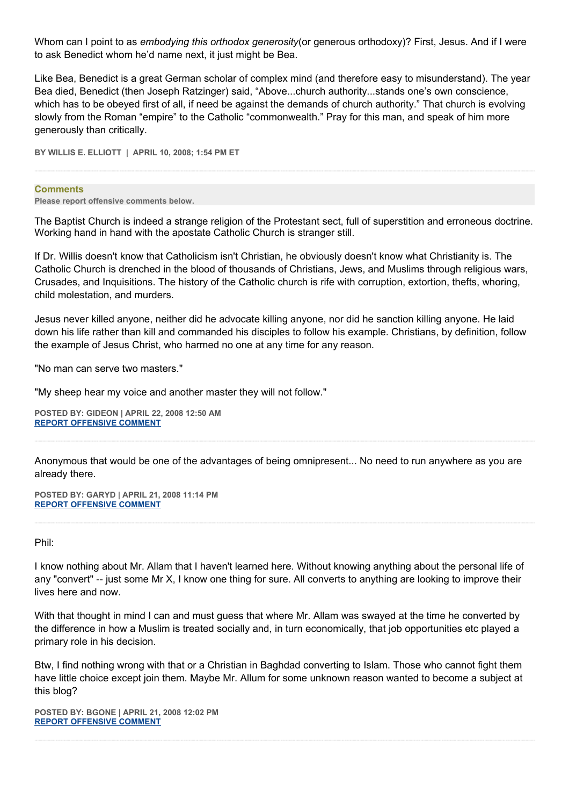Whom can I point to as *embodying this orthodox generosity*(or generous orthodoxy)? First, Jesus. And if I were to ask Benedict whom he'd name next, it just might be Bea.

Like Bea, Benedict is a great German scholar of complex mind (and therefore easy to misunderstand). The year Bea died, Benedict (then Joseph Ratzinger) said, "Above...church authority...stands one's own conscience, which has to be obeyed first of all, if need be against the demands of church authority." That church is evolving slowly from the Roman "empire" to the Catholic "commonwealth." Pray for this man, and speak of him more generously than critically.

**BY WILLIS E. ELLIOTT | APRIL 10, 2008; 1:54 PM ET** 

#### **Comments**

**Please report offensive comments below.**

The Baptist Church is indeed a strange religion of the Protestant sect, full of superstition and erroneous doctrine. Working hand in hand with the apostate Catholic Church is stranger still.

If Dr. Willis doesn't know that Catholicism isn't Christian, he obviously doesn't know what Christianity is. The Catholic Church is drenched in the blood of thousands of Christians, Jews, and Muslims through religious wars, Crusades, and Inquisitions. The history of the Catholic church is rife with corruption, extortion, thefts, whoring, child molestation, and murders.

Jesus never killed anyone, neither did he advocate killing anyone, nor did he sanction killing anyone. He laid down his life rather than kill and commanded his disciples to follow his example. Christians, by definition, follow the example of Jesus Christ, who harmed no one at any time for any reason.

"No man can serve two masters."

"My sheep hear my voice and another master they will not follow."

**POSTED BY: GIDEON | APRIL 22, 2008 12:50 AM [REPORT OFFENSIVE COMMENT](mailto:blogs@washingtonpost.com?subject=On%20Faith%20Panelists%20Blog%20%20%7C%20%20Gideon%20%20%7C%20%20Pope%20Benedict)**

Anonymous that would be one of the advantages of being omnipresent... No need to run anywhere as you are already there.

**POSTED BY: GARYD | APRIL 21, 2008 11:14 PM [REPORT OFFENSIVE COMMENT](mailto:blogs@washingtonpost.com?subject=On%20Faith%20Panelists%20Blog%20%20%7C%20%20Garyd%20%20%7C%20%20Pope%20Benedict)**

## Phil:

I know nothing about Mr. Allam that I haven't learned here. Without knowing anything about the personal life of any "convert" -- just some Mr X, I know one thing for sure. All converts to anything are looking to improve their lives here and now.

With that thought in mind I can and must guess that where Mr. Allam was swayed at the time he converted by the difference in how a Muslim is treated socially and, in turn economically, that job opportunities etc played a primary role in his decision.

Btw, I find nothing wrong with that or a Christian in Baghdad converting to Islam. Those who cannot fight them have little choice except join them. Maybe Mr. Allum for some unknown reason wanted to become a subject at this blog?

**POSTED BY: BGONE | APRIL 21, 2008 12:02 PM [REPORT OFFENSIVE COMMENT](mailto:blogs@washingtonpost.com?subject=On%20Faith%20Panelists%20Blog%20%20%7C%20%20BGone%20%20%7C%20%20Pope%20Benedict)**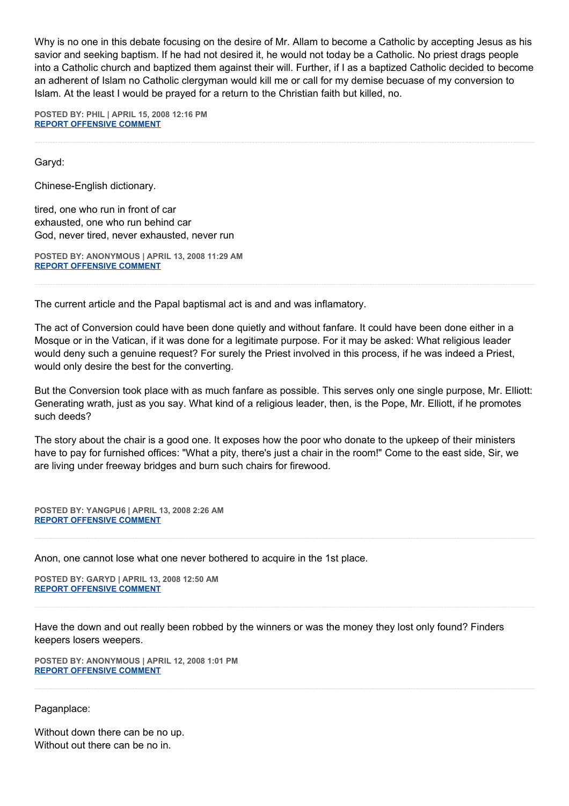Why is no one in this debate focusing on the desire of Mr. Allam to become a Catholic by accepting Jesus as his savior and seeking baptism. If he had not desired it, he would not today be a Catholic. No priest drags people into a Catholic church and baptized them against their will. Further, if I as a baptized Catholic decided to become an adherent of Islam no Catholic clergyman would kill me or call for my demise becuase of my conversion to Islam. At the least I would be prayed for a return to the Christian faith but killed, no.

**POSTED BY: PHIL | APRIL 15, 2008 12:16 PM [REPORT OFFENSIVE COMMENT](mailto:blogs@washingtonpost.com?subject=On%20Faith%20Panelists%20Blog%20%20%7C%20%20Phil%20%20%7C%20%20Pope%20Benedict)**

Garyd:

Chinese-English dictionary.

tired, one who run in front of car exhausted, one who run behind car God, never tired, never exhausted, never run

**POSTED BY: ANONYMOUS | APRIL 13, 2008 11:29 AM [REPORT OFFENSIVE COMMENT](mailto:blogs@washingtonpost.com?subject=On%20Faith%20Panelists%20Blog%20%20%7C%20%20Anonymous%20%20%7C%20%20Pope%20Benedict)**

The current article and the Papal baptismal act is and and was inflamatory.

The act of Conversion could have been done quietly and without fanfare. It could have been done either in a Mosque or in the Vatican, if it was done for a legitimate purpose. For it may be asked: What religious leader would deny such a genuine request? For surely the Priest involved in this process, if he was indeed a Priest, would only desire the best for the converting.

But the Conversion took place with as much fanfare as possible. This serves only one single purpose, Mr. Elliott: Generating wrath, just as you say. What kind of a religious leader, then, is the Pope, Mr. Elliott, if he promotes such deeds?

The story about the chair is a good one. It exposes how the poor who donate to the upkeep of their ministers have to pay for furnished offices: "What a pity, there's just a chair in the room!" Come to the east side, Sir, we are living under freeway bridges and burn such chairs for firewood.

**POSTED BY: YANGPU6 | APRIL 13, 2008 2:26 AM [REPORT OFFENSIVE COMMENT](mailto:blogs@washingtonpost.com?subject=On%20Faith%20Panelists%20Blog%20%20%7C%20%20yangpu6%20%20%7C%20%20Pope%20Benedict)**

Anon, one cannot lose what one never bothered to acquire in the 1st place.

**POSTED BY: GARYD | APRIL 13, 2008 12:50 AM [REPORT OFFENSIVE COMMENT](mailto:blogs@washingtonpost.com?subject=On%20Faith%20Panelists%20Blog%20%20%7C%20%20garyd%20%20%20%7C%20%20Pope%20Benedict)**

Have the down and out really been robbed by the winners or was the money they lost only found? Finders keepers losers weepers.

**POSTED BY: ANONYMOUS | APRIL 12, 2008 1:01 PM [REPORT OFFENSIVE COMMENT](mailto:blogs@washingtonpost.com?subject=On%20Faith%20Panelists%20Blog%20%20%7C%20%20Anonymous%20%20%7C%20%20Pope%20Benedict)**

Paganplace:

Without down there can be no up. Without out there can be no in.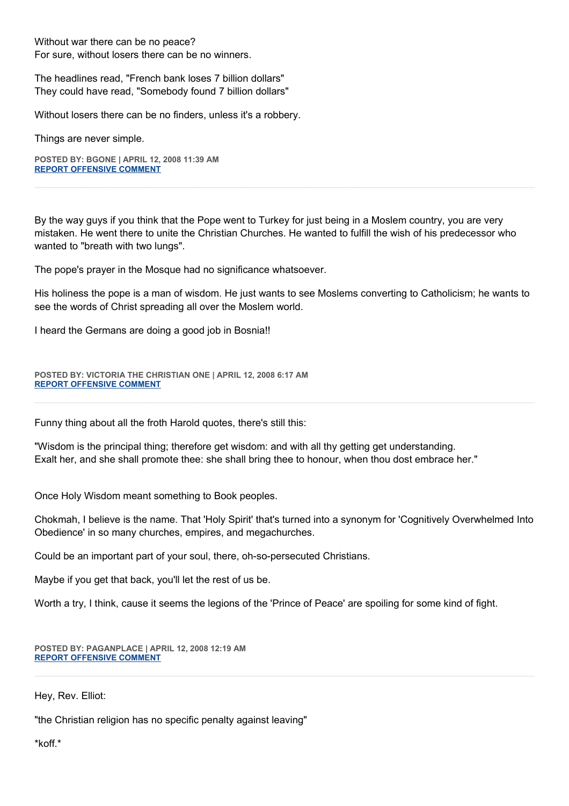Without war there can be no peace? For sure, without losers there can be no winners.

The headlines read, "French bank loses 7 billion dollars" They could have read, "Somebody found 7 billion dollars"

Without losers there can be no finders, unless it's a robbery.

Things are never simple.

**POSTED BY: BGONE | APRIL 12, 2008 11:39 AM [REPORT OFFENSIVE COMMENT](mailto:blogs@washingtonpost.com?subject=On%20Faith%20Panelists%20Blog%20%20%7C%20%20BGone%20%20%7C%20%20Pope%20Benedict)**

By the way guys if you think that the Pope went to Turkey for just being in a Moslem country, you are very mistaken. He went there to unite the Christian Churches. He wanted to fulfill the wish of his predecessor who wanted to "breath with two lungs".

The pope's prayer in the Mosque had no significance whatsoever.

His holiness the pope is a man of wisdom. He just wants to see Moslems converting to Catholicism; he wants to see the words of Christ spreading all over the Moslem world.

I heard the Germans are doing a good job in Bosnia!!

**POSTED BY: VICTORIA THE CHRISTIAN ONE | APRIL 12, 2008 6:17 AM [REPORT OFFENSIVE COMMENT](mailto:blogs@washingtonpost.com?subject=On%20Faith%20Panelists%20Blog%20%20%7C%20%20victoria%20the%20Christian%20one%20%20%20%7C%20%20Pope%20Benedict)**

Funny thing about all the froth Harold quotes, there's still this:

"Wisdom is the principal thing; therefore get wisdom: and with all thy getting get understanding. Exalt her, and she shall promote thee: she shall bring thee to honour, when thou dost embrace her."

Once Holy Wisdom meant something to Book peoples.

Chokmah, I believe is the name. That 'Holy Spirit' that's turned into a synonym for 'Cognitively Overwhelmed Into Obedience' in so many churches, empires, and megachurches.

Could be an important part of your soul, there, oh-so-persecuted Christians.

Maybe if you get that back, you'll let the rest of us be.

Worth a try, I think, cause it seems the legions of the 'Prince of Peace' are spoiling for some kind of fight.

**POSTED BY: PAGANPLACE | APRIL 12, 2008 12:19 AM [REPORT OFFENSIVE COMMENT](mailto:blogs@washingtonpost.com?subject=On%20Faith%20Panelists%20Blog%20%20%7C%20%20Paganplace%20%20%7C%20%20Pope%20Benedict)**

Hey, Rev. Elliot:

"the Christian religion has no specific penalty against leaving"

\*koff.\*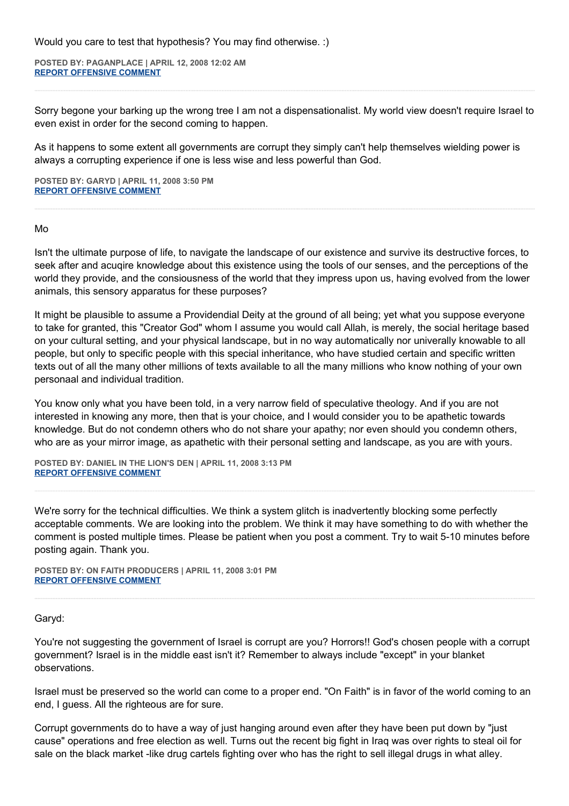**POSTED BY: PAGANPLACE | APRIL 12, 2008 12:02 AM [REPORT OFFENSIVE COMMENT](mailto:blogs@washingtonpost.com?subject=On%20Faith%20Panelists%20Blog%20%20%7C%20%20Paganplace%20%20%7C%20%20Pope%20Benedict)**

Sorry begone your barking up the wrong tree I am not a dispensationalist. My world view doesn't require Israel to even exist in order for the second coming to happen.

As it happens to some extent all governments are corrupt they simply can't help themselves wielding power is always a corrupting experience if one is less wise and less powerful than God.

**POSTED BY: GARYD | APRIL 11, 2008 3:50 PM [REPORT OFFENSIVE COMMENT](mailto:blogs@washingtonpost.com?subject=On%20Faith%20Panelists%20Blog%20%20%7C%20%20Garyd%20%20%7C%20%20Pope%20Benedict)**

#### Mo

Isn't the ultimate purpose of life, to navigate the landscape of our existence and survive its destructive forces, to seek after and acuqire knowledge about this existence using the tools of our senses, and the perceptions of the world they provide, and the consiousness of the world that they impress upon us, having evolved from the lower animals, this sensory apparatus for these purposes?

It might be plausible to assume a Providendial Deity at the ground of all being; yet what you suppose everyone to take for granted, this "Creator God" whom I assume you would call Allah, is merely, the social heritage based on your cultural setting, and your physical landscape, but in no way automatically nor univerally knowable to all people, but only to specific people with this special inheritance, who have studied certain and specific written texts out of all the many other millions of texts available to all the many millions who know nothing of your own personaal and individual tradition.

You know only what you have been told, in a very narrow field of speculative theology. And if you are not interested in knowing any more, then that is your choice, and I would consider you to be apathetic towards knowledge. But do not condemn others who do not share your apathy; nor even should you condemn others, who are as your mirror image, as apathetic with their personal setting and landscape, as you are with yours.

**POSTED BY: DANIEL IN THE LION'S DEN | APRIL 11, 2008 3:13 PM [REPORT OFFENSIVE COMMENT](mailto:blogs@washingtonpost.com?subject=On%20Faith%20Panelists%20Blog%20%20%7C%20%20Daniel%20in%20the%20Lion)**

We're sorry for the technical difficulties. We think a system glitch is inadvertently blocking some perfectly acceptable comments. We are looking into the problem. We think it may have something to do with whether the comment is posted multiple times. Please be patient when you post a comment. Try to wait 5-10 minutes before posting again. Thank you.

**POSTED BY: ON FAITH PRODUCERS | APRIL 11, 2008 3:01 PM [REPORT OFFENSIVE COMMENT](mailto:blogs@washingtonpost.com?subject=On%20Faith%20Panelists%20Blog%20%20%7C%20%20On%20Faith%20Producers%20%20%7C%20%20Pope%20Benedict)**

# Garyd:

You're not suggesting the government of Israel is corrupt are you? Horrors!! God's chosen people with a corrupt government? Israel is in the middle east isn't it? Remember to always include "except" in your blanket observations.

Israel must be preserved so the world can come to a proper end. "On Faith" is in favor of the world coming to an end, I guess. All the righteous are for sure.

Corrupt governments do to have a way of just hanging around even after they have been put down by "just cause" operations and free election as well. Turns out the recent big fight in Iraq was over rights to steal oil for sale on the black market -like drug cartels fighting over who has the right to sell illegal drugs in what alley.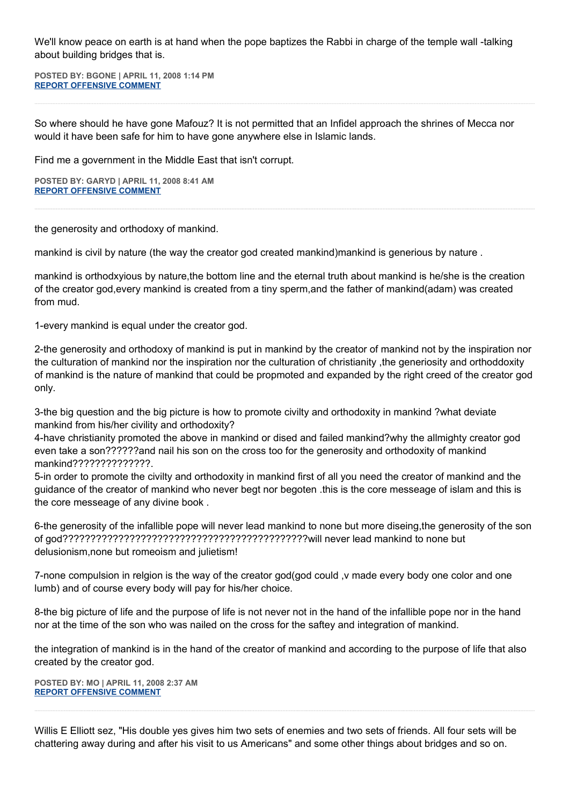We'll know peace on earth is at hand when the pope baptizes the Rabbi in charge of the temple wall -talking about building bridges that is.

**POSTED BY: BGONE | APRIL 11, 2008 1:14 PM [REPORT OFFENSIVE COMMENT](mailto:blogs@washingtonpost.com?subject=On%20Faith%20Panelists%20Blog%20%20%7C%20%20BGone%20%20%7C%20%20Pope%20Benedict)**

So where should he have gone Mafouz? It is not permitted that an Infidel approach the shrines of Mecca nor would it have been safe for him to have gone anywhere else in Islamic lands.

Find me a government in the Middle East that isn't corrupt.

**POSTED BY: GARYD | APRIL 11, 2008 8:41 AM [REPORT OFFENSIVE COMMENT](mailto:blogs@washingtonpost.com?subject=On%20Faith%20Panelists%20Blog%20%20%7C%20%20Garyd%20%20%7C%20%20Pope%20Benedict)**

the generosity and orthodoxy of mankind.

mankind is civil by nature (the way the creator god created mankind)mankind is generious by nature .

mankind is orthodxyious by nature,the bottom line and the eternal truth about mankind is he/she is the creation of the creator god,every mankind is created from a tiny sperm,and the father of mankind(adam) was created from mud.

1-every mankind is equal under the creator god.

2-the generosity and orthodoxy of mankind is put in mankind by the creator of mankind not by the inspiration nor the culturation of mankind nor the inspiration nor the culturation of christianity ,the generiosity and orthoddoxity of mankind is the nature of mankind that could be propmoted and expanded by the right creed of the creator god only.

3-the big question and the big picture is how to promote civilty and orthodoxity in mankind ?what deviate mankind from his/her civility and orthodoxity?

4-have christianity promoted the above in mankind or dised and failed mankind?why the allmighty creator god even take a son??????and nail his son on the cross too for the generosity and orthodoxity of mankind mankind??????????????.

5-in order to promote the civilty and orthodoxity in mankind first of all you need the creator of mankind and the guidance of the creator of mankind who never begt nor begoten .this is the core messeage of islam and this is the core messeage of any divine book .

6-the generosity of the infallible pope will never lead mankind to none but more diseing,the generosity of the son of god????????????????????????????????????????????will never lead mankind to none but delusionism,none but romeoism and julietism!

7-none compulsion in relgion is the way of the creator god(god could, v made every body one color and one lumb) and of course every body will pay for his/her choice.

8-the big picture of life and the purpose of life is not never not in the hand of the infallible pope nor in the hand nor at the time of the son who was nailed on the cross for the saftey and integration of mankind.

the integration of mankind is in the hand of the creator of mankind and according to the purpose of life that also created by the creator god.

**POSTED BY: MO | APRIL 11, 2008 2:37 AM [REPORT OFFENSIVE COMMENT](mailto:blogs@washingtonpost.com?subject=On%20Faith%20Panelists%20Blog%20%20%7C%20%20mo%20%20%7C%20%20Pope%20Benedict)**

Willis E Elliott sez, "His double yes gives him two sets of enemies and two sets of friends. All four sets will be chattering away during and after his visit to us Americans" and some other things about bridges and so on.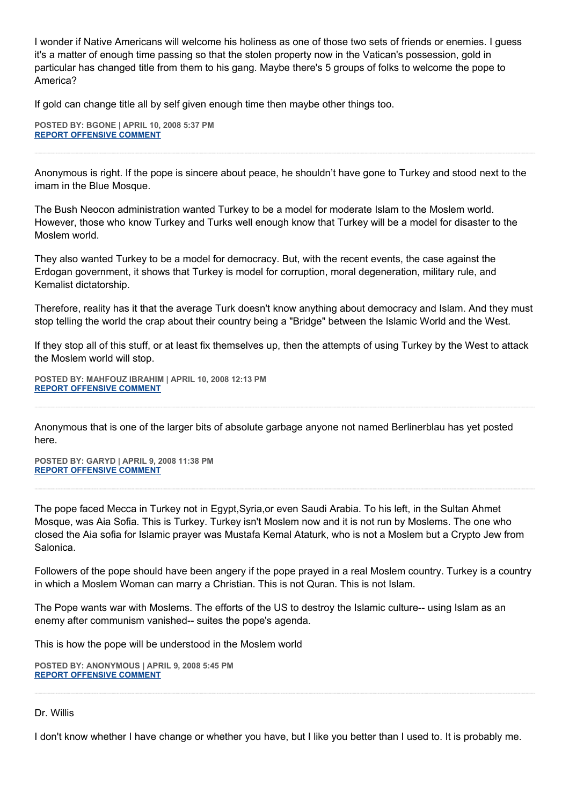I wonder if Native Americans will welcome his holiness as one of those two sets of friends or enemies. I guess it's a matter of enough time passing so that the stolen property now in the Vatican's possession, gold in particular has changed title from them to his gang. Maybe there's 5 groups of folks to welcome the pope to America?

If gold can change title all by self given enough time then maybe other things too.

**POSTED BY: BGONE | APRIL 10, 2008 5:37 PM [REPORT OFFENSIVE COMMENT](mailto:blogs@washingtonpost.com?subject=On%20Faith%20Panelists%20Blog%20%20%7C%20%20BGone%20%20%7C%20%20Pope%20Benedict)**

Anonymous is right. If the pope is sincere about peace, he shouldn't have gone to Turkey and stood next to the imam in the Blue Mosque.

The Bush Neocon administration wanted Turkey to be a model for moderate Islam to the Moslem world. However, those who know Turkey and Turks well enough know that Turkey will be a model for disaster to the Moslem world.

They also wanted Turkey to be a model for democracy. But, with the recent events, the case against the Erdogan government, it shows that Turkey is model for corruption, moral degeneration, military rule, and Kemalist dictatorship.

Therefore, reality has it that the average Turk doesn't know anything about democracy and Islam. And they must stop telling the world the crap about their country being a "Bridge" between the Islamic World and the West.

If they stop all of this stuff, or at least fix themselves up, then the attempts of using Turkey by the West to attack the Moslem world will stop.

**POSTED BY: MAHFOUZ IBRAHIM | APRIL 10, 2008 12:13 PM [REPORT OFFENSIVE COMMENT](mailto:blogs@washingtonpost.com?subject=On%20Faith%20Panelists%20Blog%20%20%7C%20%20Mahfouz%20Ibrahim%20%20%7C%20%20Pope%20Benedict)**

Anonymous that is one of the larger bits of absolute garbage anyone not named Berlinerblau has yet posted here.

**POSTED BY: GARYD | APRIL 9, 2008 11:38 PM [REPORT OFFENSIVE COMMENT](mailto:blogs@washingtonpost.com?subject=On%20Faith%20Panelists%20Blog%20%20%7C%20%20Garyd%20%20%7C%20%20Pope%20Benedict)**

The pope faced Mecca in Turkey not in Egypt,Syria,or even Saudi Arabia. To his left, in the Sultan Ahmet Mosque, was Aia Sofia. This is Turkey. Turkey isn't Moslem now and it is not run by Moslems. The one who closed the Aia sofia for Islamic prayer was Mustafa Kemal Ataturk, who is not a Moslem but a Crypto Jew from Salonica.

Followers of the pope should have been angery if the pope prayed in a real Moslem country. Turkey is a country in which a Moslem Woman can marry a Christian. This is not Quran. This is not Islam.

The Pope wants war with Moslems. The efforts of the US to destroy the Islamic culture-- using Islam as an enemy after communism vanished-- suites the pope's agenda.

This is how the pope will be understood in the Moslem world

**POSTED BY: ANONYMOUS | APRIL 9, 2008 5:45 PM [REPORT OFFENSIVE COMMENT](mailto:blogs@washingtonpost.com?subject=On%20Faith%20Panelists%20Blog%20%20%7C%20%20Anonymous%20%20%7C%20%20Pope%20Benedict)**

## Dr. Willis

I don't know whether I have change or whether you have, but I like you better than I used to. It is probably me.